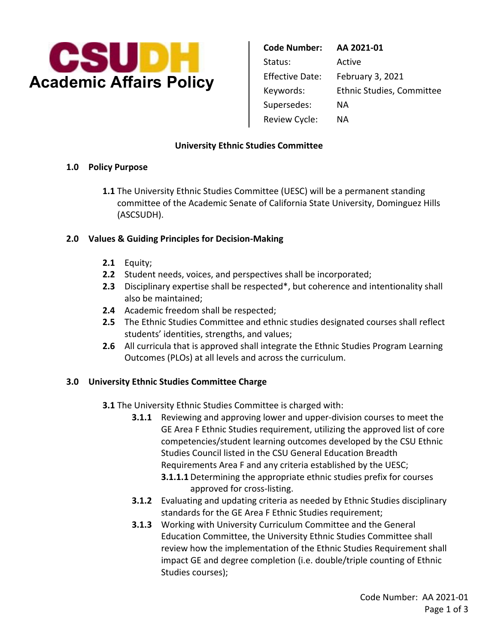

 Supersedes: NA Review Cycle: NA **Code Number: AA 2021-01**  Status: Active Effective Date: February 3, 2021 Keywords: Ethnic Studies, Committee

#### **University Ethnic Studies Committee**

#### **1.0 Policy Purpose**

**1.1** The University Ethnic Studies Committee (UESC) will be a permanent standing committee of the Academic Senate of California State University, Dominguez Hills (ASCSUDH).

### **2.0 Values & Guiding Principles for Decision-Making**

- **2.1** Equity;
- **2.2** Student needs, voices, and perspectives shall be incorporated;
- **2.3** Disciplinary expertise shall be respected\*, but coherence and intentionality shall also be maintained;
- **2.4** Academic freedom shall be respected;
- **2.5** The Ethnic Studies Committee and ethnic studies designated courses shall reflect students' identities, strengths, and values;
- **2.6** All curricula that is approved shall integrate the Ethnic Studies Program Learning Outcomes (PLOs) at all levels and across the curriculum.

### **3.0 University Ethnic Studies Committee Charge**

**3.1** The University Ethnic Studies Committee is charged with:

- **3.1.1** Reviewing and approving lower and upper-division courses to meet the GE Area F Ethnic Studies requirement, utilizing the approved list of core competencies/student learning outcomes developed by the CSU Ethnic Studies Council listed in the CSU General Education Breadth Requirements Area F and any criteria established by the UESC; **3.1.1.1** Determining the appropriate ethnic studies prefix for courses approved for cross-listing.
- **3.1.2** Evaluating and updating criteria as needed by Ethnic Studies disciplinary standards for the GE Area F Ethnic Studies requirement;
- **3.1.3** Working with University Curriculum Committee and the General Education Committee, the University Ethnic Studies Committee shall review how the implementation of the Ethnic Studies Requirement shall impact GE and degree completion (i.e. double/triple counting of Ethnic Studies courses);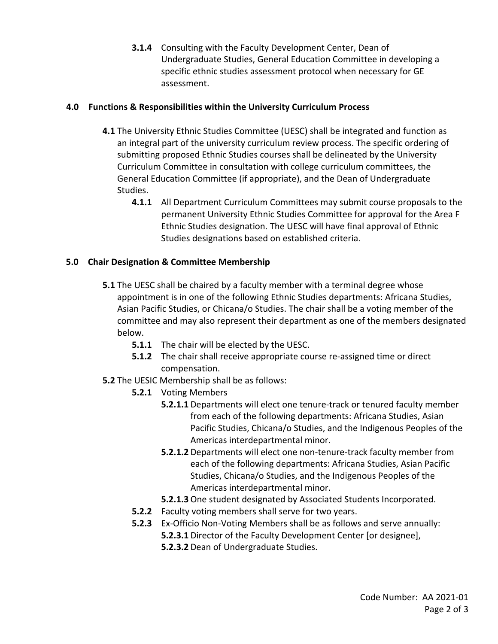**3.1.4** Consulting with the Faculty Development Center, Dean of Undergraduate Studies, General Education Committee in developing a specific ethnic studies assessment protocol when necessary for GE assessment.

## **4.0 Functions & Responsibilities within the University Curriculum Process**

- **4.1** The University Ethnic Studies Committee (UESC) shall be integrated and function as an integral part of the university curriculum review process. The specific ordering of submitting proposed Ethnic Studies courses shall be delineated by the University Curriculum Committee in consultation with college curriculum committees, the General Education Committee (if appropriate), and the Dean of Undergraduate Studies.
	- **4.1.1** All Department Curriculum Committees may submit course proposals to the permanent University Ethnic Studies Committee for approval for the Area F Ethnic Studies designation. The UESC will have final approval of Ethnic Studies designations based on established criteria.

# **5.0 Chair Designation & Committee Membership**

- **5.1** The UESC shall be chaired by a faculty member with a terminal degree whose appointment is in one of the following Ethnic Studies departments: Africana Studies, Asian Pacific Studies, or Chicana/o Studies. The chair shall be a voting member of the committee and may also represent their department as one of the members designated below.
	- **5.1.1** The chair will be elected by the UESC.
	- **5.1.2** The chair shall receive appropriate course re-assigned time or direct compensation.
- **5.2** The UESIC Membership shall be as follows:
	- **5.2.1** Voting Members
		- **5.2.1.1** Departments will elect one tenure-track or tenured faculty member from each of the following departments: Africana Studies, Asian Pacific Studies, Chicana/o Studies, and the Indigenous Peoples of the Americas interdepartmental minor.
		- **5.2.1.2** Departments will elect one non-tenure-track faculty member from each of the following departments: Africana Studies, Asian Pacific Studies, Chicana/o Studies, and the Indigenous Peoples of the Americas interdepartmental minor.
		- **5.2.1.3** One student designated by Associated Students Incorporated.
	- **5.2.2** Faculty voting members shall serve for two years.
	- **5.2.3** Ex-Officio Non-Voting Members shall be as follows and serve annually: **5.2.3.1** Director of the Faculty Development Center [or designee],
		- **5.2.3.2** Dean of Undergraduate Studies.